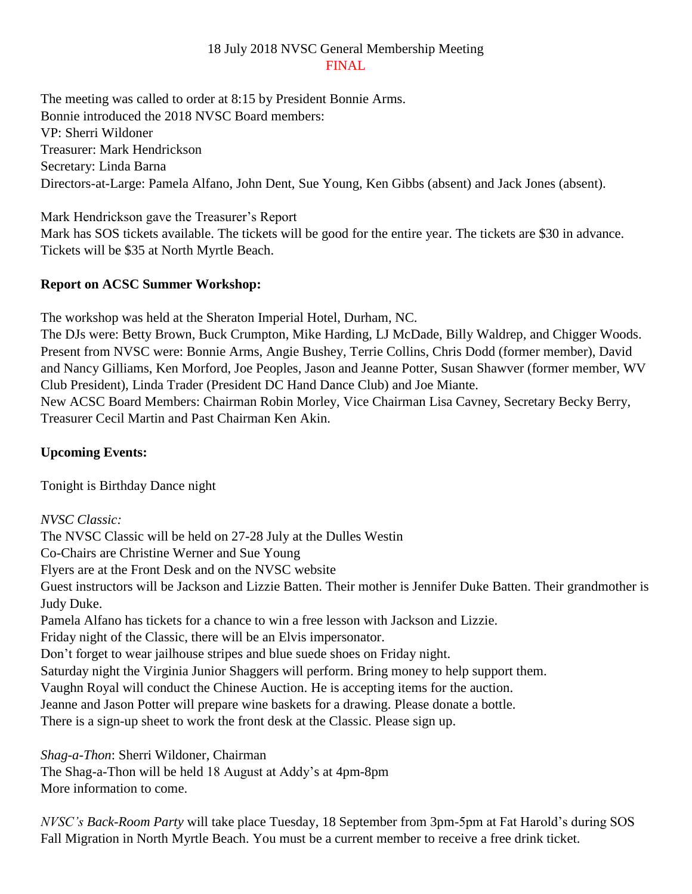## 18 July 2018 NVSC General Membership Meeting FINAL

The meeting was called to order at 8:15 by President Bonnie Arms. Bonnie introduced the 2018 NVSC Board members: VP: Sherri Wildoner Treasurer: Mark Hendrickson Secretary: Linda Barna Directors-at-Large: Pamela Alfano, John Dent, Sue Young, Ken Gibbs (absent) and Jack Jones (absent).

Mark Hendrickson gave the Treasurer's Report Mark has SOS tickets available. The tickets will be good for the entire year. The tickets are \$30 in advance. Tickets will be \$35 at North Myrtle Beach.

## **Report on ACSC Summer Workshop:**

The workshop was held at the Sheraton Imperial Hotel, Durham, NC.

The DJs were: Betty Brown, Buck Crumpton, Mike Harding, LJ McDade, Billy Waldrep, and Chigger Woods. Present from NVSC were: Bonnie Arms, Angie Bushey, Terrie Collins, Chris Dodd (former member), David and Nancy Gilliams, Ken Morford, Joe Peoples, Jason and Jeanne Potter, Susan Shawver (former member, WV Club President), Linda Trader (President DC Hand Dance Club) and Joe Miante.

New ACSC Board Members: Chairman Robin Morley, Vice Chairman Lisa Cavney, Secretary Becky Berry, Treasurer Cecil Martin and Past Chairman Ken Akin.

## **Upcoming Events:**

Tonight is Birthday Dance night

*NVSC Classic:*

The NVSC Classic will be held on 27-28 July at the Dulles Westin Co-Chairs are Christine Werner and Sue Young Flyers are at the Front Desk and on the NVSC website Guest instructors will be Jackson and Lizzie Batten. Their mother is Jennifer Duke Batten. Their grandmother is Judy Duke. Pamela Alfano has tickets for a chance to win a free lesson with Jackson and Lizzie. Friday night of the Classic, there will be an Elvis impersonator. Don't forget to wear jailhouse stripes and blue suede shoes on Friday night. Saturday night the Virginia Junior Shaggers will perform. Bring money to help support them. Vaughn Royal will conduct the Chinese Auction. He is accepting items for the auction. Jeanne and Jason Potter will prepare wine baskets for a drawing. Please donate a bottle. There is a sign-up sheet to work the front desk at the Classic. Please sign up.

*Shag-a-Thon*: Sherri Wildoner, Chairman

The Shag-a-Thon will be held 18 August at Addy's at 4pm-8pm More information to come.

*NVSC's Back-Room Party* will take place Tuesday, 18 September from 3pm-5pm at Fat Harold's during SOS Fall Migration in North Myrtle Beach. You must be a current member to receive a free drink ticket.